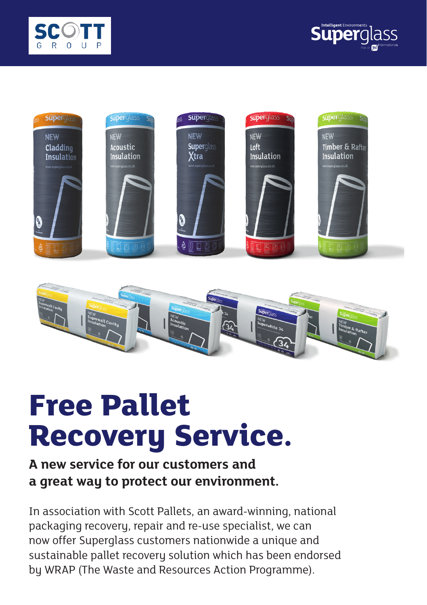







# **Free Pallet Recovery Service.**

## **A new service for our customers and a great way to protect our environment.**

In association with Scott Pallets, an award-winning, national packaging recovery, repair and re-use specialist, we can now offer Superglass customers nationwide a unique and sustainable pallet recovery solution which has been endorsed by WRAP (The Waste and Resources Action Programme).